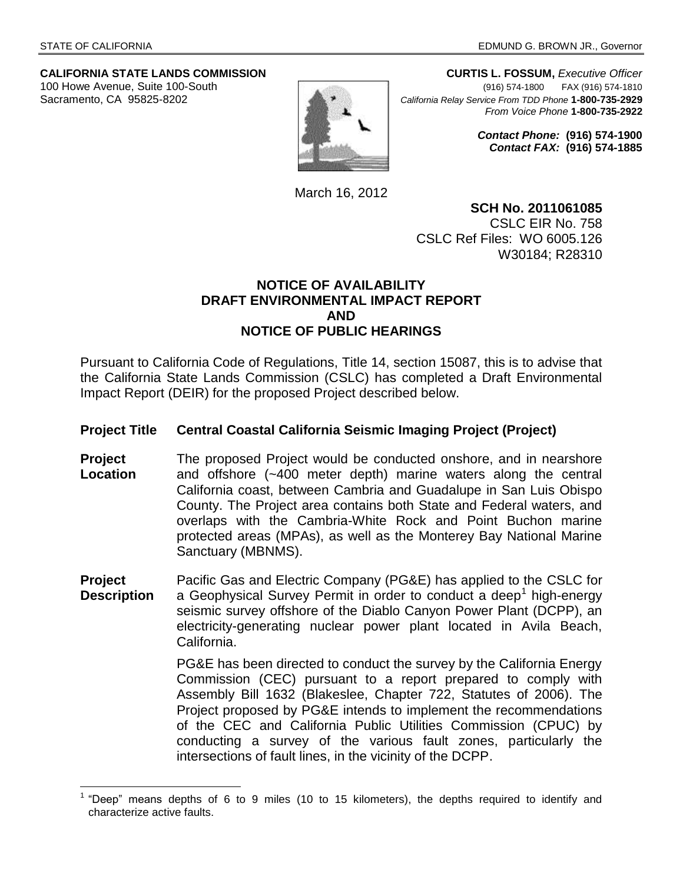$\overline{a}$ 

# **CALIFORNIA STATE LANDS COMMISSION CURTIS L. FOSSUM,** *Executive Officer*



100 Howe Avenue, Suite 100-South (916) 574-1800 FAX (916) 574-1810 Sacramento, CA 95825-8202 *California Relay Service From TDD Phone* **1-800-735-2929** *From Voice Phone* **1-800-735-2922**

> *Contact Phone:* **(916) 574-1900** *Contact FAX:* **(916) 574-1885**

March 16, 2012

**SCH No. 2011061085** CSLC EIR No. 758 CSLC Ref Files: WO 6005.126 W30184; R28310

#### **NOTICE OF AVAILABILITY DRAFT ENVIRONMENTAL IMPACT REPORT AND NOTICE OF PUBLIC HEARINGS**

Pursuant to California Code of Regulations, Title 14, section 15087, this is to advise that the California State Lands Commission (CSLC) has completed a Draft Environmental Impact Report (DEIR) for the proposed Project described below.

### **Project Title Central Coastal California Seismic Imaging Project (Project)**

- **Project Location** The proposed Project would be conducted onshore, and in nearshore and offshore (~400 meter depth) marine waters along the central California coast, between Cambria and Guadalupe in San Luis Obispo County. The Project area contains both State and Federal waters, and overlaps with the Cambria-White Rock and Point Buchon marine protected areas (MPAs), as well as the Monterey Bay National Marine Sanctuary (MBNMS).
- **Project Description** Pacific Gas and Electric Company (PG&E) has applied to the CSLC for a Geophysical Survey Permit in order to conduct a deep<sup>1</sup> high-energy seismic survey offshore of the Diablo Canyon Power Plant (DCPP), an electricity-generating nuclear power plant located in Avila Beach, California.

PG&E has been directed to conduct the survey by the California Energy Commission (CEC) pursuant to a report prepared to comply with Assembly Bill 1632 (Blakeslee, Chapter 722, Statutes of 2006). The Project proposed by PG&E intends to implement the recommendations of the CEC and California Public Utilities Commission (CPUC) by conducting a survey of the various fault zones, particularly the intersections of fault lines, in the vicinity of the DCPP.

<sup>1</sup> "Deep" means depths of 6 to 9 miles (10 to 15 kilometers), the depths required to identify and characterize active faults.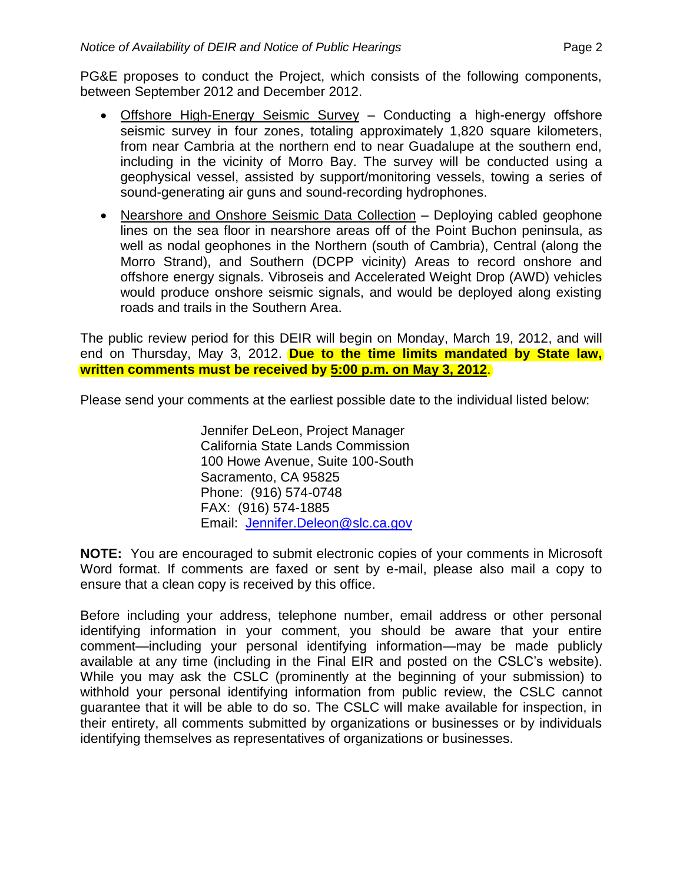PG&E proposes to conduct the Project, which consists of the following components, between September 2012 and December 2012.

- Offshore High-Energy Seismic Survey Conducting a high-energy offshore seismic survey in four zones, totaling approximately 1,820 square kilometers, from near Cambria at the northern end to near Guadalupe at the southern end, including in the vicinity of Morro Bay. The survey will be conducted using a geophysical vessel, assisted by support/monitoring vessels, towing a series of sound-generating air guns and sound-recording hydrophones.
- Nearshore and Onshore Seismic Data Collection Deploying cabled geophone lines on the sea floor in nearshore areas off of the Point Buchon peninsula, as well as nodal geophones in the Northern (south of Cambria), Central (along the Morro Strand), and Southern (DCPP vicinity) Areas to record onshore and offshore energy signals. Vibroseis and Accelerated Weight Drop (AWD) vehicles would produce onshore seismic signals, and would be deployed along existing roads and trails in the Southern Area.

The public review period for this DEIR will begin on Monday, March 19, 2012, and will end on Thursday, May 3, 2012. **Due to the time limits mandated by State law, written comments must be received by 5:00 p.m. on May 3, 2012**.

Please send your comments at the earliest possible date to the individual listed below:

Jennifer DeLeon, Project Manager California State Lands Commission 100 Howe Avenue, Suite 100-South Sacramento, CA 95825 Phone: (916) 574-0748 FAX: (916) 574-1885 Email: [Jennifer.Deleon@slc.ca.gov](mailto:Jennifer.Deleon@slc.ca.gov)

**NOTE:** You are encouraged to submit electronic copies of your comments in Microsoft Word format. If comments are faxed or sent by e-mail, please also mail a copy to ensure that a clean copy is received by this office.

Before including your address, telephone number, email address or other personal identifying information in your comment, you should be aware that your entire comment—including your personal identifying information—may be made publicly available at any time (including in the Final EIR and posted on the CSLC's website). While you may ask the CSLC (prominently at the beginning of your submission) to withhold your personal identifying information from public review, the CSLC cannot guarantee that it will be able to do so. The CSLC will make available for inspection, in their entirety, all comments submitted by organizations or businesses or by individuals identifying themselves as representatives of organizations or businesses.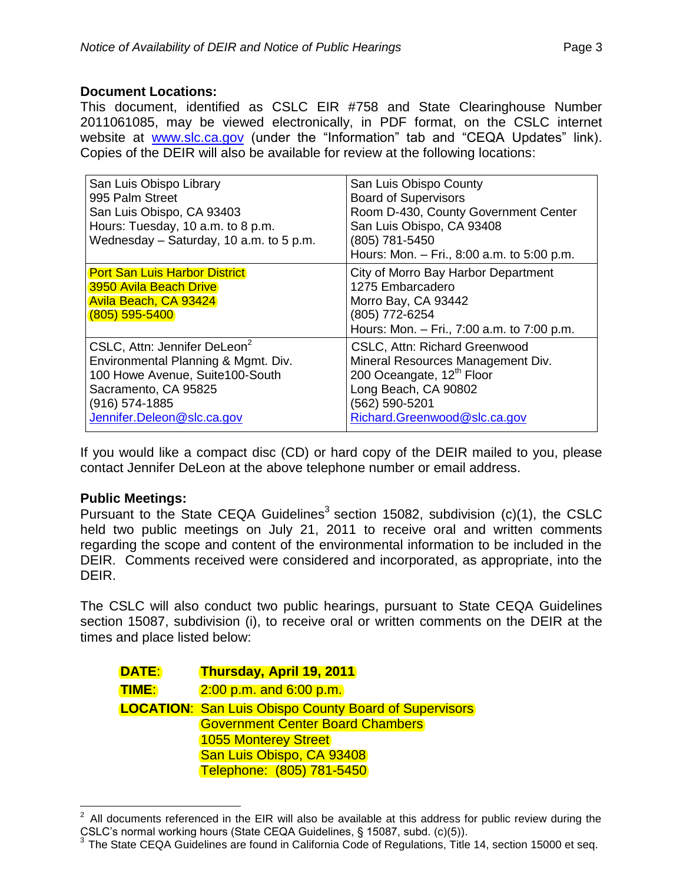## **Document Locations:**

This document, identified as CSLC EIR #758 and State Clearinghouse Number 2011061085, may be viewed electronically, in PDF format, on the CSLC internet website at [www.slc.ca.gov](http://www.slc.ca.gov/) (under the "Information" tab and "CEQA Updates" link). Copies of the DEIR will also be available for review at the following locations:

| San Luis Obispo Library<br>995 Palm Street<br>San Luis Obispo, CA 93403<br>Hours: Tuesday, 10 a.m. to 8 p.m.<br>Wednesday - Saturday, 10 a.m. to 5 p.m.                                    | San Luis Obispo County<br><b>Board of Supervisors</b><br>Room D-430, County Government Center<br>San Luis Obispo, CA 93408<br>(805) 781-5450<br>Hours: Mon. - Fri., 8:00 a.m. to 5:00 p.m.   |
|--------------------------------------------------------------------------------------------------------------------------------------------------------------------------------------------|----------------------------------------------------------------------------------------------------------------------------------------------------------------------------------------------|
| <b>Port San Luis Harbor District</b><br><b>3950 Avila Beach Drive</b><br>Avila Beach, CA 93424<br>$(805)$ 595-5400                                                                         | City of Morro Bay Harbor Department<br>1275 Embarcadero<br>Morro Bay, CA 93442<br>(805) 772-6254<br>Hours: Mon. - Fri., 7:00 a.m. to 7:00 p.m.                                               |
| CSLC, Attn: Jennifer DeLeon <sup>2</sup><br>Environmental Planning & Mgmt. Div.<br>100 Howe Avenue, Suite100-South<br>Sacramento, CA 95825<br>(916) 574-1885<br>Jennifer.Deleon@slc.ca.gov | <b>CSLC, Attn: Richard Greenwood</b><br>Mineral Resources Management Div.<br>200 Oceangate, 12 <sup>th</sup> Floor<br>Long Beach, CA 90802<br>(562) 590-5201<br>Richard.Greenwood@slc.ca.gov |

If you would like a compact disc (CD) or hard copy of the DEIR mailed to you, please contact Jennifer DeLeon at the above telephone number or email address.

### **Public Meetings:**

Pursuant to the State CEQA Guidelines<sup>3</sup> section 15082, subdivision  $(c)(1)$ , the CSLC held two public meetings on July 21, 2011 to receive oral and written comments regarding the scope and content of the environmental information to be included in the DEIR. Comments received were considered and incorporated, as appropriate, into the DEIR.

The CSLC will also conduct two public hearings, pursuant to State CEQA Guidelines section 15087, subdivision (i), to receive oral or written comments on the DEIR at the times and place listed below:

| DATE:        | <b>Thursday, April 19, 2011</b>                              |  |
|--------------|--------------------------------------------------------------|--|
| <u>TIME:</u> | $2:00$ p.m. and $6:00$ p.m.                                  |  |
|              | <b>LOCATION: San Luis Obispo County Board of Supervisors</b> |  |
|              | <b>Government Center Board Chambers</b>                      |  |
|              | <b>1055 Monterey Street</b>                                  |  |
|              | San Luis Obispo, CA 93408                                    |  |
|              | Telephone: (805) 781-5450                                    |  |

 $\frac{1}{2}$ All documents referenced in the EIR will also be available at this address for public review during the CSLC's normal working hours (State CEQA Guidelines, § 15087, subd. (c)(5)).

<sup>&</sup>lt;sup>3</sup> The State CEQA Guidelines are found in California Code of Regulations, Title 14, section 15000 et seq.